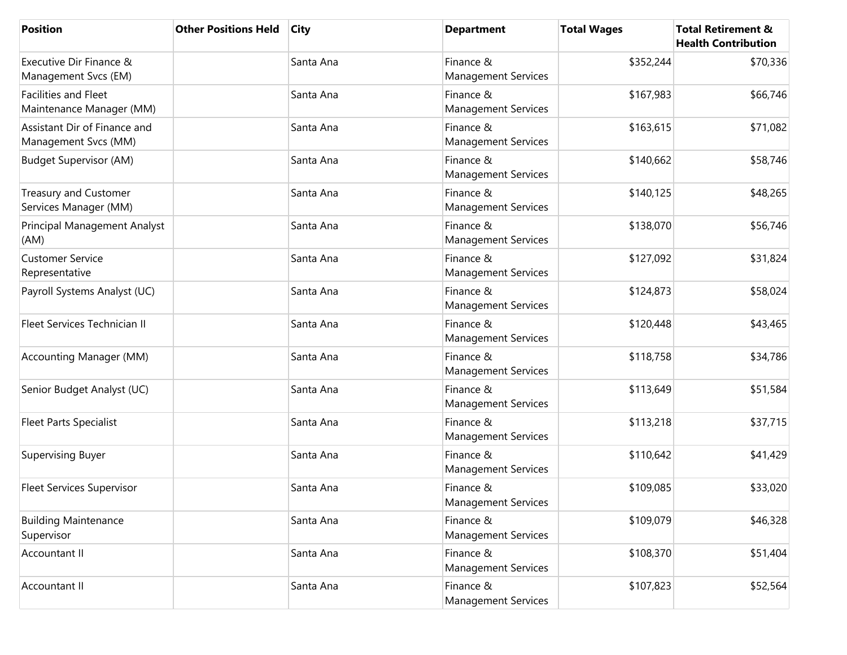| <b>Position</b>                                         | <b>Other Positions Held</b> | <b>City</b> | <b>Department</b>                       | <b>Total Wages</b> | <b>Total Retirement &amp;</b><br><b>Health Contribution</b> |
|---------------------------------------------------------|-----------------------------|-------------|-----------------------------------------|--------------------|-------------------------------------------------------------|
| Executive Dir Finance &<br>Management Svcs (EM)         |                             | Santa Ana   | Finance &<br><b>Management Services</b> | \$352,244          | \$70,336                                                    |
| <b>Facilities and Fleet</b><br>Maintenance Manager (MM) |                             | Santa Ana   | Finance &<br><b>Management Services</b> | \$167,983          | \$66,746                                                    |
| Assistant Dir of Finance and<br>Management Svcs (MM)    |                             | Santa Ana   | Finance &<br><b>Management Services</b> | \$163,615          | \$71,082                                                    |
| <b>Budget Supervisor (AM)</b>                           |                             | Santa Ana   | Finance &<br><b>Management Services</b> | \$140,662          | \$58,746                                                    |
| <b>Treasury and Customer</b><br>Services Manager (MM)   |                             | Santa Ana   | Finance &<br><b>Management Services</b> | \$140,125          | \$48,265                                                    |
| Principal Management Analyst<br>(AM)                    |                             | Santa Ana   | Finance &<br>Management Services        | \$138,070          | \$56,746                                                    |
| <b>Customer Service</b><br>Representative               |                             | Santa Ana   | Finance &<br><b>Management Services</b> | \$127,092          | \$31,824                                                    |
| Payroll Systems Analyst (UC)                            |                             | Santa Ana   | Finance &<br><b>Management Services</b> | \$124,873          | \$58,024                                                    |
| Fleet Services Technician II                            |                             | Santa Ana   | Finance &<br><b>Management Services</b> | \$120,448          | \$43,465                                                    |
| Accounting Manager (MM)                                 |                             | Santa Ana   | Finance &<br><b>Management Services</b> | \$118,758          | \$34,786                                                    |
| Senior Budget Analyst (UC)                              |                             | Santa Ana   | Finance &<br>Management Services        | \$113,649          | \$51,584                                                    |
| <b>Fleet Parts Specialist</b>                           |                             | Santa Ana   | Finance &<br><b>Management Services</b> | \$113,218          | \$37,715                                                    |
| Supervising Buyer                                       |                             | Santa Ana   | Finance &<br><b>Management Services</b> | \$110,642          | \$41,429                                                    |
| <b>Fleet Services Supervisor</b>                        |                             | Santa Ana   | Finance &<br><b>Management Services</b> | \$109,085          | \$33,020                                                    |
| <b>Building Maintenance</b><br>Supervisor               |                             | Santa Ana   | Finance &<br><b>Management Services</b> | \$109,079          | \$46,328                                                    |
| Accountant II                                           |                             | Santa Ana   | Finance &<br>Management Services        | \$108,370          | \$51,404                                                    |
| Accountant II                                           |                             | Santa Ana   | Finance &<br><b>Management Services</b> | \$107,823          | \$52,564                                                    |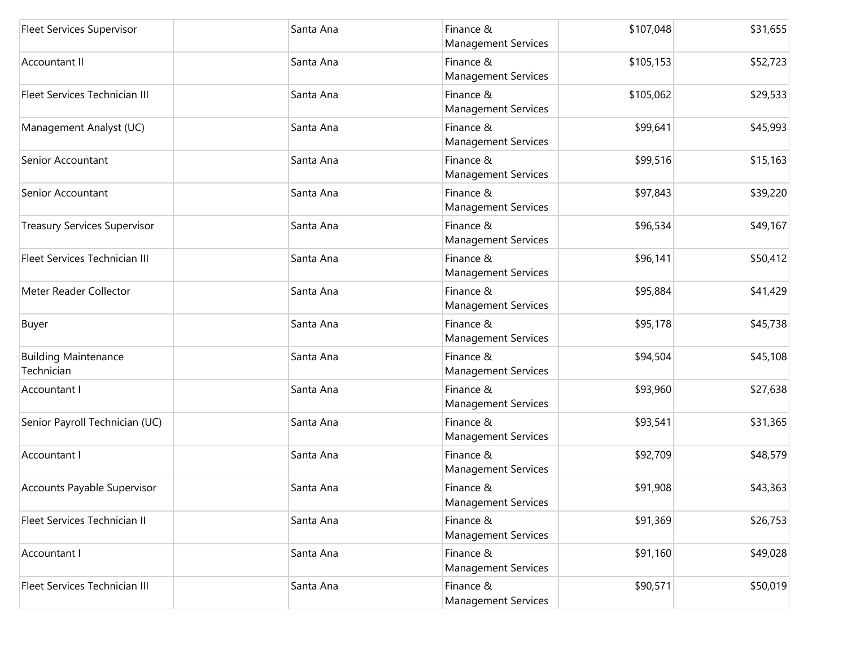| <b>Fleet Services Supervisor</b>          | Santa Ana | Finance &<br><b>Management Services</b> | \$107,048 | \$31,655 |
|-------------------------------------------|-----------|-----------------------------------------|-----------|----------|
| Accountant II                             | Santa Ana | Finance &<br><b>Management Services</b> | \$105,153 | \$52,723 |
| <b>Fleet Services Technician III</b>      | Santa Ana | Finance &<br><b>Management Services</b> | \$105,062 | \$29,533 |
| Management Analyst (UC)                   | Santa Ana | Finance &<br><b>Management Services</b> | \$99,641  | \$45,993 |
| Senior Accountant                         | Santa Ana | Finance &<br><b>Management Services</b> | \$99,516  | \$15,163 |
| Senior Accountant                         | Santa Ana | Finance &<br><b>Management Services</b> | \$97,843  | \$39,220 |
| <b>Treasury Services Supervisor</b>       | Santa Ana | Finance &<br><b>Management Services</b> | \$96,534  | \$49,167 |
| Fleet Services Technician III             | Santa Ana | Finance &<br><b>Management Services</b> | \$96,141  | \$50,412 |
| Meter Reader Collector                    | Santa Ana | Finance &<br><b>Management Services</b> | \$95,884  | \$41,429 |
| Buyer                                     | Santa Ana | Finance &<br><b>Management Services</b> | \$95,178  | \$45,738 |
| <b>Building Maintenance</b><br>Technician | Santa Ana | Finance &<br><b>Management Services</b> | \$94,504  | \$45,108 |
| Accountant I                              | Santa Ana | Finance &<br><b>Management Services</b> | \$93,960  | \$27,638 |
| Senior Payroll Technician (UC)            | Santa Ana | Finance &<br><b>Management Services</b> | \$93,541  | \$31,365 |
| Accountant I                              | Santa Ana | Finance &<br><b>Management Services</b> | \$92,709  | \$48,579 |
| Accounts Payable Supervisor               | Santa Ana | Finance &<br><b>Management Services</b> | \$91,908  | \$43,363 |
| Fleet Services Technician II              | Santa Ana | Finance &<br><b>Management Services</b> | \$91,369  | \$26,753 |
| Accountant I                              | Santa Ana | Finance &<br>Management Services        | \$91,160  | \$49,028 |
| Fleet Services Technician III             | Santa Ana | Finance &<br><b>Management Services</b> | \$90,571  | \$50,019 |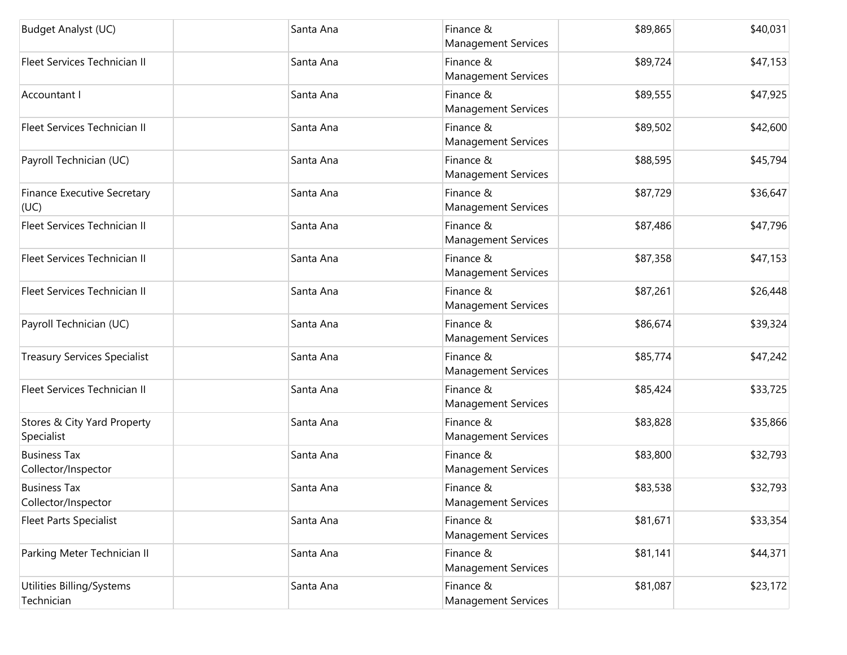| <b>Budget Analyst (UC)</b>                 | Santa Ana | Finance &<br><b>Management Services</b> | \$89,865 | \$40,031 |
|--------------------------------------------|-----------|-----------------------------------------|----------|----------|
| Fleet Services Technician II               | Santa Ana | Finance &<br><b>Management Services</b> | \$89,724 | \$47,153 |
| Accountant I                               | Santa Ana | Finance &<br><b>Management Services</b> | \$89,555 | \$47,925 |
| Fleet Services Technician II               | Santa Ana | Finance &<br><b>Management Services</b> | \$89,502 | \$42,600 |
| Payroll Technician (UC)                    | Santa Ana | Finance &<br><b>Management Services</b> | \$88,595 | \$45,794 |
| Finance Executive Secretary<br>(UC)        | Santa Ana | Finance &<br>Management Services        | \$87,729 | \$36,647 |
| Fleet Services Technician II               | Santa Ana | Finance &<br><b>Management Services</b> | \$87,486 | \$47,796 |
| Fleet Services Technician II               | Santa Ana | Finance &<br>Management Services        | \$87,358 | \$47,153 |
| Fleet Services Technician II               | Santa Ana | Finance &<br><b>Management Services</b> | \$87,261 | \$26,448 |
| Payroll Technician (UC)                    | Santa Ana | Finance &<br>Management Services        | \$86,674 | \$39,324 |
| <b>Treasury Services Specialist</b>        | Santa Ana | Finance &<br><b>Management Services</b> | \$85,774 | \$47,242 |
| Fleet Services Technician II               | Santa Ana | Finance &<br><b>Management Services</b> | \$85,424 | \$33,725 |
| Stores & City Yard Property<br>Specialist  | Santa Ana | Finance &<br>Management Services        | \$83,828 | \$35,866 |
| <b>Business Tax</b><br>Collector/Inspector | Santa Ana | Finance &<br><b>Management Services</b> | \$83,800 | \$32,793 |
| <b>Business Tax</b><br>Collector/Inspector | Santa Ana | Finance &<br><b>Management Services</b> | \$83,538 | \$32,793 |
| <b>Fleet Parts Specialist</b>              | Santa Ana | Finance &<br><b>Management Services</b> | \$81,671 | \$33,354 |
| Parking Meter Technician II                | Santa Ana | Finance &<br>Management Services        | \$81,141 | \$44,371 |
| Utilities Billing/Systems<br>Technician    | Santa Ana | Finance &<br><b>Management Services</b> | \$81,087 | \$23,172 |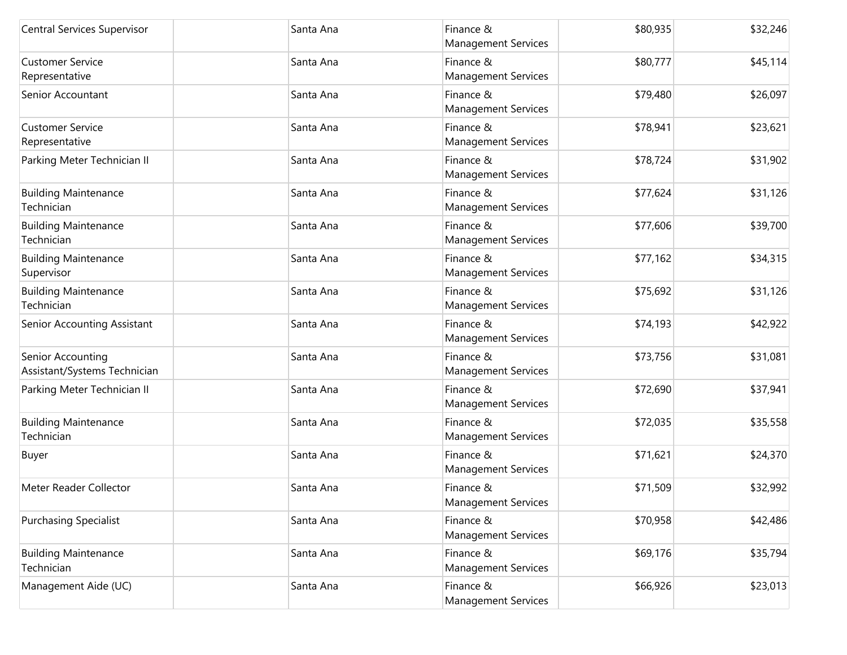| Central Services Supervisor                       | Santa Ana | Finance &<br><b>Management Services</b> | \$80,935 | \$32,246 |
|---------------------------------------------------|-----------|-----------------------------------------|----------|----------|
| <b>Customer Service</b><br>Representative         | Santa Ana | Finance &<br><b>Management Services</b> | \$80,777 | \$45,114 |
| Senior Accountant                                 | Santa Ana | Finance &<br><b>Management Services</b> | \$79,480 | \$26,097 |
| <b>Customer Service</b><br>Representative         | Santa Ana | Finance &<br><b>Management Services</b> | \$78,941 | \$23,621 |
| Parking Meter Technician II                       | Santa Ana | Finance &<br><b>Management Services</b> | \$78,724 | \$31,902 |
| <b>Building Maintenance</b><br>Technician         | Santa Ana | Finance &<br><b>Management Services</b> | \$77,624 | \$31,126 |
| <b>Building Maintenance</b><br>Technician         | Santa Ana | Finance &<br><b>Management Services</b> | \$77,606 | \$39,700 |
| <b>Building Maintenance</b><br>Supervisor         | Santa Ana | Finance &<br><b>Management Services</b> | \$77,162 | \$34,315 |
| <b>Building Maintenance</b><br>Technician         | Santa Ana | Finance &<br><b>Management Services</b> | \$75,692 | \$31,126 |
| Senior Accounting Assistant                       | Santa Ana | Finance &<br><b>Management Services</b> | \$74,193 | \$42,922 |
| Senior Accounting<br>Assistant/Systems Technician | Santa Ana | Finance &<br><b>Management Services</b> | \$73,756 | \$31,081 |
| Parking Meter Technician II                       | Santa Ana | Finance &<br><b>Management Services</b> | \$72,690 | \$37,941 |
| <b>Building Maintenance</b><br>Technician         | Santa Ana | Finance &<br><b>Management Services</b> | \$72,035 | \$35,558 |
| Buyer                                             | Santa Ana | Finance &<br><b>Management Services</b> | \$71,621 | \$24,370 |
| Meter Reader Collector                            | Santa Ana | Finance &<br><b>Management Services</b> | \$71,509 | \$32,992 |
| <b>Purchasing Specialist</b>                      | Santa Ana | Finance &<br><b>Management Services</b> | \$70,958 | \$42,486 |
| <b>Building Maintenance</b><br>Technician         | Santa Ana | Finance &<br><b>Management Services</b> | \$69,176 | \$35,794 |
| Management Aide (UC)                              | Santa Ana | Finance &<br><b>Management Services</b> | \$66,926 | \$23,013 |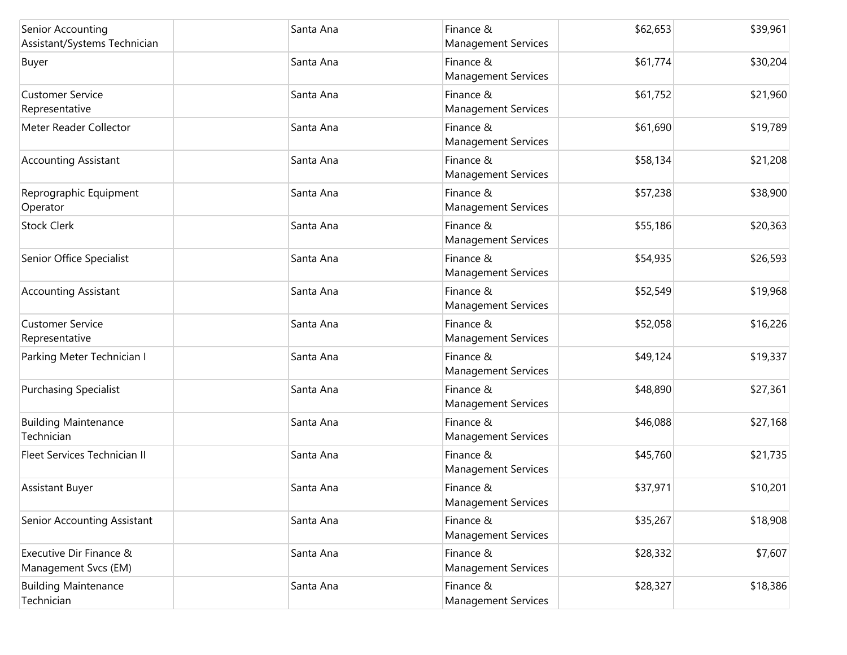| Senior Accounting<br>Assistant/Systems Technician | Santa Ana | Finance &<br><b>Management Services</b> | \$62,653 | \$39,961 |
|---------------------------------------------------|-----------|-----------------------------------------|----------|----------|
| Buyer                                             | Santa Ana | Finance &<br><b>Management Services</b> | \$61,774 | \$30,204 |
| <b>Customer Service</b><br>Representative         | Santa Ana | Finance &<br><b>Management Services</b> | \$61,752 | \$21,960 |
| Meter Reader Collector                            | Santa Ana | Finance &<br><b>Management Services</b> | \$61,690 | \$19,789 |
| <b>Accounting Assistant</b>                       | Santa Ana | Finance &<br><b>Management Services</b> | \$58,134 | \$21,208 |
| Reprographic Equipment<br>Operator                | Santa Ana | Finance &<br><b>Management Services</b> | \$57,238 | \$38,900 |
| <b>Stock Clerk</b>                                | Santa Ana | Finance &<br><b>Management Services</b> | \$55,186 | \$20,363 |
| Senior Office Specialist                          | Santa Ana | Finance &<br><b>Management Services</b> | \$54,935 | \$26,593 |
| <b>Accounting Assistant</b>                       | Santa Ana | Finance &<br><b>Management Services</b> | \$52,549 | \$19,968 |
| <b>Customer Service</b><br>Representative         | Santa Ana | Finance &<br><b>Management Services</b> | \$52,058 | \$16,226 |
| Parking Meter Technician I                        | Santa Ana | Finance &<br><b>Management Services</b> | \$49,124 | \$19,337 |
| <b>Purchasing Specialist</b>                      | Santa Ana | Finance &<br><b>Management Services</b> | \$48,890 | \$27,361 |
| <b>Building Maintenance</b><br>Technician         | Santa Ana | Finance &<br>Management Services        | \$46,088 | \$27,168 |
| Fleet Services Technician II                      | Santa Ana | Finance &<br><b>Management Services</b> | \$45,760 | \$21,735 |
| <b>Assistant Buyer</b>                            | Santa Ana | Finance &<br><b>Management Services</b> | \$37,971 | \$10,201 |
| Senior Accounting Assistant                       | Santa Ana | Finance &<br><b>Management Services</b> | \$35,267 | \$18,908 |
| Executive Dir Finance &<br>Management Svcs (EM)   | Santa Ana | Finance &<br>Management Services        | \$28,332 | \$7,607  |
| <b>Building Maintenance</b><br>Technician         | Santa Ana | Finance &<br><b>Management Services</b> | \$28,327 | \$18,386 |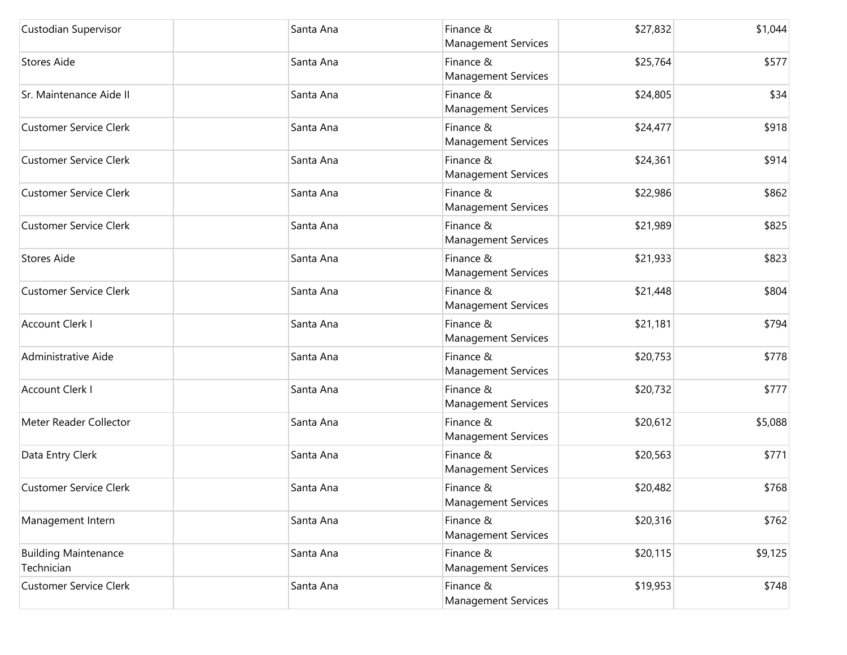| Custodian Supervisor                      | Santa Ana | Finance &<br><b>Management Services</b> | \$27,832 | \$1,044 |
|-------------------------------------------|-----------|-----------------------------------------|----------|---------|
| Stores Aide                               | Santa Ana | Finance &<br>Management Services        | \$25,764 | \$577   |
| Sr. Maintenance Aide II                   | Santa Ana | Finance &<br>Management Services        | \$24,805 | \$34    |
| <b>Customer Service Clerk</b>             | Santa Ana | Finance &<br><b>Management Services</b> | \$24,477 | \$918   |
| <b>Customer Service Clerk</b>             | Santa Ana | Finance &<br>Management Services        | \$24,361 | \$914   |
| <b>Customer Service Clerk</b>             | Santa Ana | Finance &<br>Management Services        | \$22,986 | \$862   |
| <b>Customer Service Clerk</b>             | Santa Ana | Finance &<br>Management Services        | \$21,989 | \$825   |
| Stores Aide                               | Santa Ana | Finance &<br><b>Management Services</b> | \$21,933 | \$823   |
| <b>Customer Service Clerk</b>             | Santa Ana | Finance &<br><b>Management Services</b> | \$21,448 | \$804   |
| <b>Account Clerk I</b>                    | Santa Ana | Finance &<br><b>Management Services</b> | \$21,181 | \$794   |
| Administrative Aide                       | Santa Ana | Finance &<br>Management Services        | \$20,753 | \$778   |
| Account Clerk I                           | Santa Ana | Finance &<br>Management Services        | \$20,732 | \$777   |
| Meter Reader Collector                    | Santa Ana | Finance &<br>Management Services        | \$20,612 | \$5,088 |
| Data Entry Clerk                          | Santa Ana | Finance &<br>Management Services        | \$20,563 | \$771   |
| <b>Customer Service Clerk</b>             | Santa Ana | Finance &<br><b>Management Services</b> | \$20,482 | \$768   |
| Management Intern                         | Santa Ana | Finance &<br><b>Management Services</b> | \$20,316 | \$762   |
| <b>Building Maintenance</b><br>Technician | Santa Ana | Finance &<br><b>Management Services</b> | \$20,115 | \$9,125 |
| <b>Customer Service Clerk</b>             | Santa Ana | Finance &<br><b>Management Services</b> | \$19,953 | \$748   |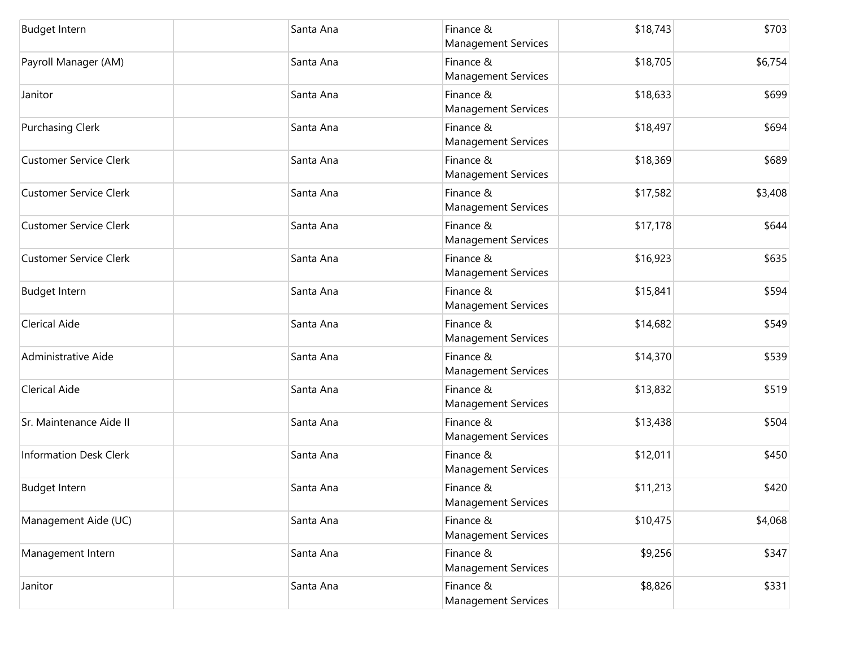| <b>Budget Intern</b>          | Santa Ana | Finance &<br><b>Management Services</b> | \$18,743 | \$703   |
|-------------------------------|-----------|-----------------------------------------|----------|---------|
| Payroll Manager (AM)          | Santa Ana | Finance &<br><b>Management Services</b> | \$18,705 | \$6,754 |
| Janitor                       | Santa Ana | Finance &<br>Management Services        | \$18,633 | \$699   |
| <b>Purchasing Clerk</b>       | Santa Ana | Finance &<br>Management Services        | \$18,497 | \$694   |
| <b>Customer Service Clerk</b> | Santa Ana | Finance &<br>Management Services        | \$18,369 | \$689   |
| <b>Customer Service Clerk</b> | Santa Ana | Finance &<br>Management Services        | \$17,582 | \$3,408 |
| <b>Customer Service Clerk</b> | Santa Ana | Finance &<br><b>Management Services</b> | \$17,178 | \$644   |
| <b>Customer Service Clerk</b> | Santa Ana | Finance &<br><b>Management Services</b> | \$16,923 | \$635   |
| <b>Budget Intern</b>          | Santa Ana | Finance &<br><b>Management Services</b> | \$15,841 | \$594   |
| <b>Clerical Aide</b>          | Santa Ana | Finance &<br>Management Services        | \$14,682 | \$549   |
| Administrative Aide           | Santa Ana | Finance &<br>Management Services        | \$14,370 | \$539   |
| <b>Clerical Aide</b>          | Santa Ana | Finance &<br><b>Management Services</b> | \$13,832 | \$519   |
| Sr. Maintenance Aide II       | Santa Ana | Finance &<br>Management Services        | \$13,438 | \$504   |
| <b>Information Desk Clerk</b> | Santa Ana | Finance &<br>Management Services        | \$12,011 | \$450   |
| <b>Budget Intern</b>          | Santa Ana | Finance &<br><b>Management Services</b> | \$11,213 | \$420   |
| Management Aide (UC)          | Santa Ana | Finance &<br><b>Management Services</b> | \$10,475 | \$4,068 |
| Management Intern             | Santa Ana | Finance &<br>Management Services        | \$9,256  | \$347   |
| Janitor                       | Santa Ana | Finance &<br><b>Management Services</b> | \$8,826  | \$331   |